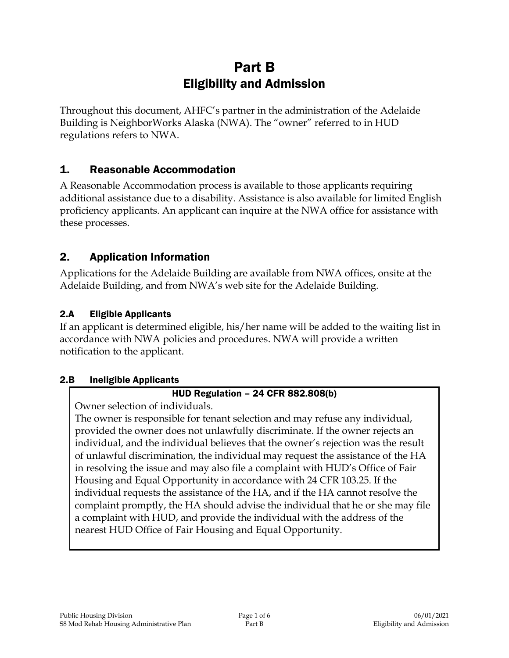# Part B Eligibility and Admission

Throughout this document, AHFC's partner in the administration of the Adelaide Building is NeighborWorks Alaska (NWA). The "owner" referred to in HUD regulations refers to NWA.

## 1. Reasonable Accommodation

A Reasonable Accommodation process is available to those applicants requiring additional assistance due to a disability. Assistance is also available for limited English proficiency applicants. An applicant can inquire at the NWA office for assistance with these processes.

## 2. Application Information

Applications for the Adelaide Building are available from NWA offices, onsite at the Adelaide Building, and from NWA's web site for the Adelaide Building.

## 2.A Eligible Applicants

If an applicant is determined eligible, his/her name will be added to the waiting list in accordance with NWA policies and procedures. NWA will provide a written notification to the applicant.

## 2.B Ineligible Applicants

## HUD Regulation – 24 CFR 882.808(b)

Owner selection of individuals.

The owner is responsible for tenant selection and may refuse any individual, provided the owner does not unlawfully discriminate. If the owner rejects an individual, and the individual believes that the owner's rejection was the result of unlawful discrimination, the individual may request the assistance of the HA in resolving the issue and may also file a complaint with HUD's Office of Fair Housing and Equal Opportunity in accordance with 24 CFR 103.25. If the individual requests the assistance of the HA, and if the HA cannot resolve the complaint promptly, the HA should advise the individual that he or she may file a complaint with HUD, and provide the individual with the address of the nearest HUD Office of Fair Housing and Equal Opportunity.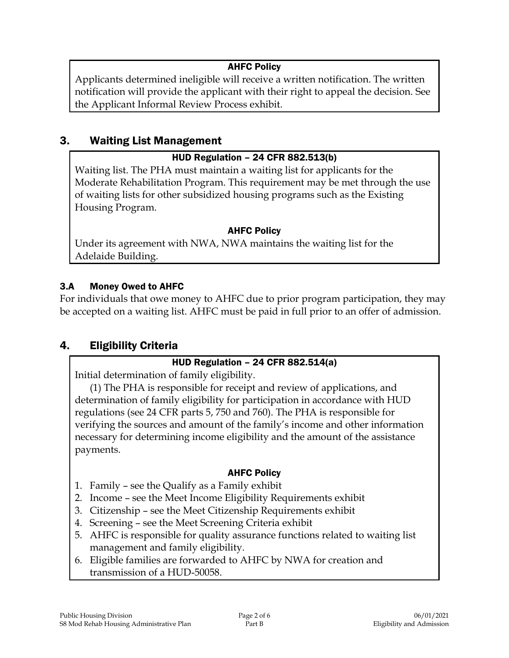## AHFC Policy

Applicants determined ineligible will receive a written notification. The written notification will provide the applicant with their right to appeal the decision. See the Applicant Informal Review Process exhibit.

## 3. Waiting List Management

## HUD Regulation – 24 CFR 882.513(b)

Waiting list. The PHA must maintain a waiting list for applicants for the Moderate Rehabilitation Program. This requirement may be met through the use of waiting lists for other subsidized housing programs such as the Existing Housing Program.

#### AHFC Policy

Under its agreement with NWA, NWA maintains the waiting list for the Adelaide Building.

## 3.A Money Owed to AHFC

For individuals that owe money to AHFC due to prior program participation, they may be accepted on a waiting list. AHFC must be paid in full prior to an offer of admission.

## 4. Eligibility Criteria

## HUD Regulation – 24 CFR 882.514(a)

Initial determination of family eligibility.

(1) The PHA is responsible for receipt and review of applications, and determination of family eligibility for participation in accordance with HUD regulations (see 24 CFR parts 5, 750 and 760). The PHA is responsible for verifying the sources and amount of the family's income and other information necessary for determining income eligibility and the amount of the assistance payments.

## AHFC Policy

- 1. Family see the Qualify as a Family exhibit
- 2. Income see the Meet Income Eligibility Requirements exhibit
- 3. Citizenship see the Meet Citizenship Requirements exhibit
- 4. Screening see the Meet Screening Criteria exhibit
- 5. AHFC is responsible for quality assurance functions related to waiting list management and family eligibility.
- 6. Eligible families are forwarded to AHFC by NWA for creation and transmission of a HUD-50058.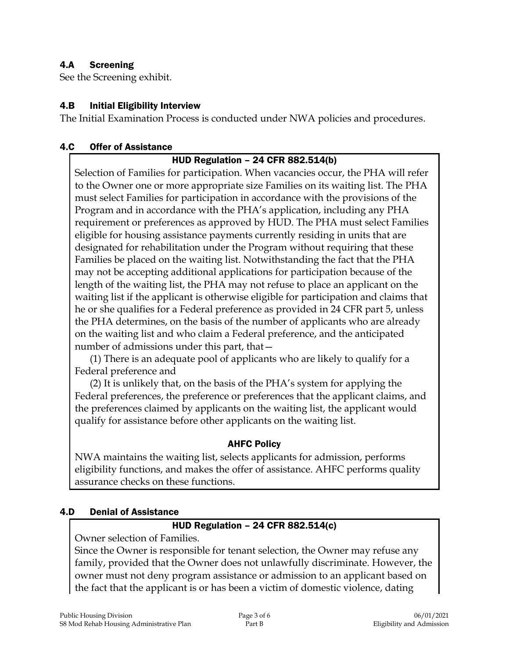## 4.A Screening

See the Screening exhibit.

#### 4.B Initial Eligibility Interview

The Initial Examination Process is conducted under NWA policies and procedures.

#### 4.C Offer of Assistance

#### HUD Regulation – 24 CFR 882.514(b)

Selection of Families for participation. When vacancies occur, the PHA will refer to the Owner one or more appropriate size Families on its waiting list. The PHA must select Families for participation in accordance with the provisions of the Program and in accordance with the PHA's application, including any PHA requirement or preferences as approved by HUD. The PHA must select Families eligible for housing assistance payments currently residing in units that are designated for rehabilitation under the Program without requiring that these Families be placed on the waiting list. Notwithstanding the fact that the PHA may not be accepting additional applications for participation because of the length of the waiting list, the PHA may not refuse to place an applicant on the waiting list if the applicant is otherwise eligible for participation and claims that he or she qualifies for a Federal preference as provided in 24 CFR part 5, unless the PHA determines, on the basis of the number of applicants who are already on the waiting list and who claim a Federal preference, and the anticipated number of admissions under this part, that—

(1) There is an adequate pool of applicants who are likely to qualify for a Federal preference and

(2) It is unlikely that, on the basis of the PHA's system for applying the Federal preferences, the preference or preferences that the applicant claims, and the preferences claimed by applicants on the waiting list, the applicant would qualify for assistance before other applicants on the waiting list.

#### AHFC Policy

NWA maintains the waiting list, selects applicants for admission, performs eligibility functions, and makes the offer of assistance. AHFC performs quality assurance checks on these functions.

#### 4.D Denial of Assistance

## HUD Regulation – 24 CFR 882.514(c)

Owner selection of Families.

Since the Owner is responsible for tenant selection, the Owner may refuse any family, provided that the Owner does not unlawfully discriminate. However, the owner must not deny program assistance or admission to an applicant based on the fact that the applicant is or has been a victim of domestic violence, dating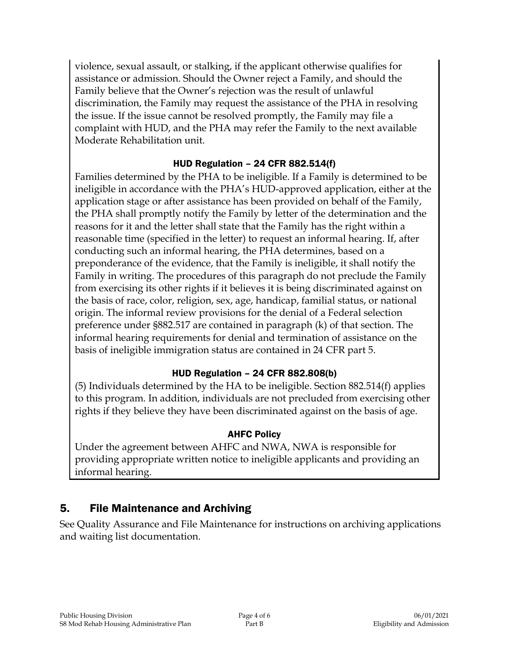violence, sexual assault, or stalking, if the applicant otherwise qualifies for assistance or admission. Should the Owner reject a Family, and should the Family believe that the Owner's rejection was the result of unlawful discrimination, the Family may request the assistance of the PHA in resolving the issue. If the issue cannot be resolved promptly, the Family may file a complaint with HUD, and the PHA may refer the Family to the next available Moderate Rehabilitation unit.

## HUD Regulation – 24 CFR 882.514(f)

Families determined by the PHA to be ineligible. If a Family is determined to be ineligible in accordance with the PHA's HUD-approved application, either at the application stage or after assistance has been provided on behalf of the Family, the PHA shall promptly notify the Family by letter of the determination and the reasons for it and the letter shall state that the Family has the right within a reasonable time (specified in the letter) to request an informal hearing. If, after conducting such an informal hearing, the PHA determines, based on a preponderance of the evidence, that the Family is ineligible, it shall notify the Family in writing. The procedures of this paragraph do not preclude the Family from exercising its other rights if it believes it is being discriminated against on the basis of race, color, religion, sex, age, handicap, familial status, or national origin. The informal review provisions for the denial of a Federal selection preference under §882.517 are contained in paragraph (k) of that section. The informal hearing requirements for denial and termination of assistance on the basis of ineligible immigration status are contained in 24 CFR part 5.

## HUD Regulation – 24 CFR 882.808(b)

(5) Individuals determined by the HA to be ineligible. Section 882.514(f) applies to this program. In addition, individuals are not precluded from exercising other rights if they believe they have been discriminated against on the basis of age.

## AHFC Policy

Under the agreement between AHFC and NWA, NWA is responsible for providing appropriate written notice to ineligible applicants and providing an informal hearing.

## 5. File Maintenance and Archiving

See Quality Assurance and File Maintenance for instructions on archiving applications and waiting list documentation.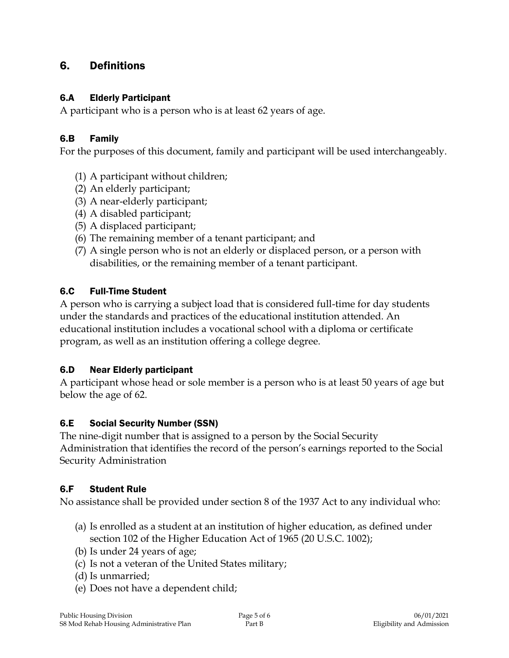## 6. Definitions

#### 6.A Elderly Participant

A participant who is a person who is at least 62 years of age.

#### 6.B Family

For the purposes of this document, family and participant will be used interchangeably.

- (1) A participant without children;
- (2) An elderly participant;
- (3) A near-elderly participant;
- (4) A disabled participant;
- (5) A displaced participant;
- (6) The remaining member of a tenant participant; and
- (7) A single person who is not an elderly or displaced person, or a person with disabilities, or the remaining member of a tenant participant.

## 6.C Full-Time Student

A person who is carrying a subject load that is considered full-time for day students under the standards and practices of the educational institution attended. An educational institution includes a vocational school with a diploma or certificate program, as well as an institution offering a college degree.

## 6.D Near Elderly participant

A participant whose head or sole member is a person who is at least 50 years of age but below the age of 62.

## 6.E Social Security Number (SSN)

The nine-digit number that is assigned to a person by the Social Security Administration that identifies the record of the person's earnings reported to the Social Security Administration

## 6.F Student Rule

No assistance shall be provided under section 8 of the 1937 Act to any individual who:

- (a) Is enrolled as a student at an institution of higher education, as defined under section 102 of the Higher Education Act of 1965 (20 U.S.C. 1002);
- (b) Is under 24 years of age;
- (c) Is not a veteran of the United States military;
- (d) Is unmarried;
- (e) Does not have a dependent child;